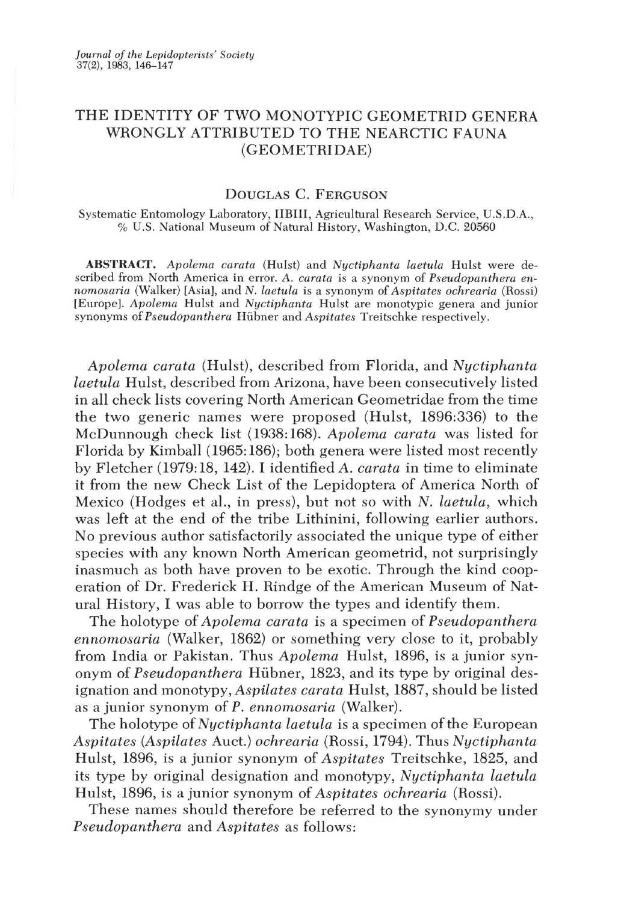# THE IDENTITY OF TWO MONOTYPIC GEOMETRID GENERA WRONGLY ATTRIBUTED TO THE NEARCTIC FAUNA (GEOMETRIDAE)

## DOUGLAS C. FERGUSON

Systematic Entomology Laboratory, IIBIII, Agricultural Research Service, *V.S.D.A.,*  % *V.S.* National Museum of Natural History, Washington, D.C. 20560

ABSTRACT. *Apolema carata* (Hulst) and *Nuctiphanta laetula* Hulst were described from North America in error. A. *carata* is a synonym of *Pseudopanthera ennomosaria* (Walker) [Asia], and *N. laetula* is a synonym of *Aspitates ochrearia* (Rossi) [Europe]. *Apolema* Hulst and *Nuctiphanta* Hulst are monotypic genera and junior synonyms of *Pseudopanthera* Hübner and *Aspitates* Treitschke respectively.

Apolema carata *(Hulst)*, described from Florida, and *Nyctiphanta Laetula* Hulst, described from Arizona, have been consecutively listed in all check lists covering North American Geometridae from the time the two generic names were proposed (Hulst, 1896:336) to the McDunnough check list (1938:168). *Apolema carata* was listed for Florida by Kimball (1965: 186); both genera were listed most recently by Fletcher (1979: 18, 142). I identified *A. carata* in time to eliminate it from the new Check List of the Lepidoptera of America North of Mexico (Hodges et al., in press), but not so with N. *laetula*, which was left at the end of the tribe Lithinini, following earlier authors. No previous author satisfactorily associated the unique type of either species with any known North American geometrid, not surprisingly inasmuch as both have proven to be exotic. Through the kind cooperation of Dr. Frederick H. Rindge of the American Museum of Natural History, I was able to borrow the types and identify them.

The holotype of *Apolema carata* is a specimen of *Pseudopanthera ennomosaria* (Walker, 1862) or something very close to it, probably from India or Pakistan. Thus *Apolema* Hulst, 1896, is a junior synonym of *Pseudopanthera* Hiibner, 1823, and its type by original designation and monotypy, *Aspilates carata* Hulst, 1887, should be listed as a junior synonym of P. *ennomosaria* (Walker).

The holotype of *Nyctiphanta laetula* is a specimen of the European *Aspitates (Aspilates Auct.) ochrearia (Rossi, 1794). Thus Nyctiphanta* Hulst, 1896, is a junior synonym of *Aspitates* Treitschke, 1825, and its type by original designation and monotypy, *Nyctiphanta laetula*  Hulst, 1896, is a junior synonym of *Aspitates ochrearia* (Rossi).

These names should therefore be referred to the synonymy under *Pseudopanthera* and *Aspitates* as follows: